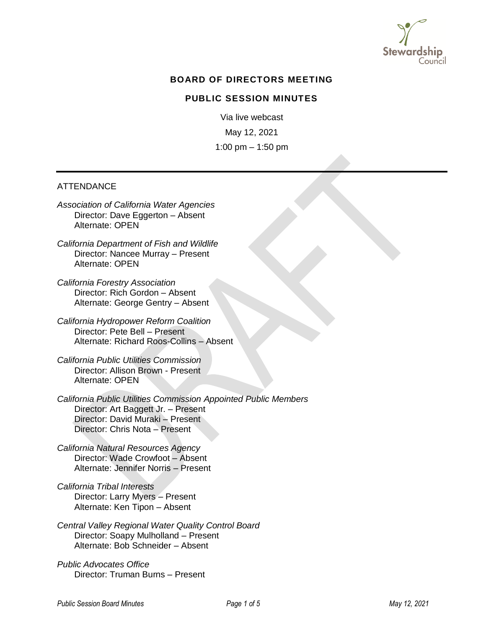

## **BOARD OF DIRECTORS MEETING**

### **PUBLIC SESSION MINUTES**

Via live webcast May 12, 2021 1:00 pm – 1:50 pm

#### ATTENDANCE

*Association of California Water Agencies* Director: Dave Eggerton – Absent Alternate: OPEN

*California Department of Fish and Wildlife* Director: Nancee Murray – Present Alternate: OPEN

*California Forestry Association* Director: Rich Gordon – Absent Alternate: George Gentry – Absent

*California Hydropower Reform Coalition* Director: Pete Bell – Present Alternate: Richard Roos-Collins – Absent

*California Public Utilities Commission* Director: Allison Brown - Present Alternate: OPEN

*California Public Utilities Commission Appointed Public Members*  Director: Art Baggett Jr. – Present Director: David Muraki – Present Director: Chris Nota – Present

*California Natural Resources Agency* Director: Wade Crowfoot – Absent Alternate: Jennifer Norris – Present

*California Tribal Interests* Director: Larry Myers – Present Alternate: Ken Tipon – Absent

*Central Valley Regional Water Quality Control Board* Director: Soapy Mulholland – Present Alternate: Bob Schneider – Absent

*Public Advocates Office* Director: Truman Burns – Present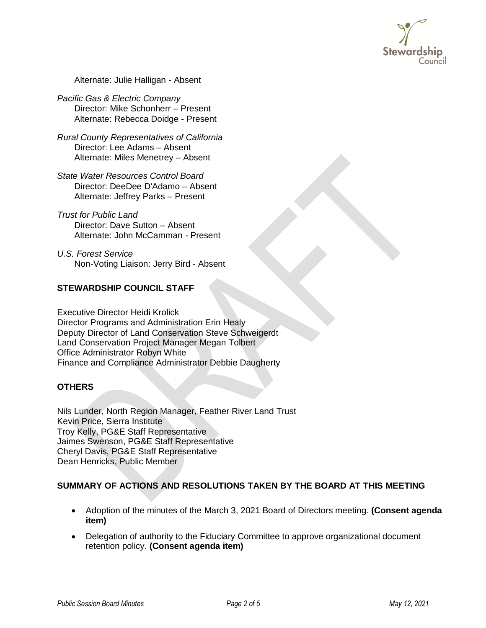

Alternate: Julie Halligan - Absent

*Pacific Gas & [Electric Company](http://stewardshipcouncil.org/about_us/board_roster.htm)* Director: Mike Schonherr – Present Alternate: Rebecca Doidge - Present

*Rural County Representatives of California* Director: Lee Adams – Absent Alternate: Miles Menetrey – Absent

*State Water Resources Control Board* Director: DeeDee D'Adamo – Absent Alternate: Jeffrey Parks – Present

*Trust for Public Land* Director: Dave Sutton – Absent Alternate: John McCamman - Present

*U.S. Forest Service* Non-Voting Liaison: Jerry Bird - Absent

# **STEWARDSHIP COUNCIL STAFF**

Executive Director Heidi Krolick Director Programs and Administration Erin Healy Deputy Director of Land Conservation Steve Schweigerdt Land Conservation Project Manager Megan Tolbert Office Administrator Robyn White Finance and Compliance Administrator Debbie Daugherty

### **OTHERS**

Nils Lunder, North Region Manager, Feather River Land Trust Kevin Price, Sierra Institute Troy Kelly, PG&E Staff Representative Jaimes Swenson, PG&E Staff Representative Cheryl Davis, PG&E Staff Representative Dean Henricks, Public Member

## **SUMMARY OF ACTIONS AND RESOLUTIONS TAKEN BY THE BOARD AT THIS MEETING**

- Adoption of the minutes of the March 3, 2021 Board of Directors meeting. **(Consent agenda item)**
- Delegation of authority to the Fiduciary Committee to approve organizational document retention policy. **(Consent agenda item)**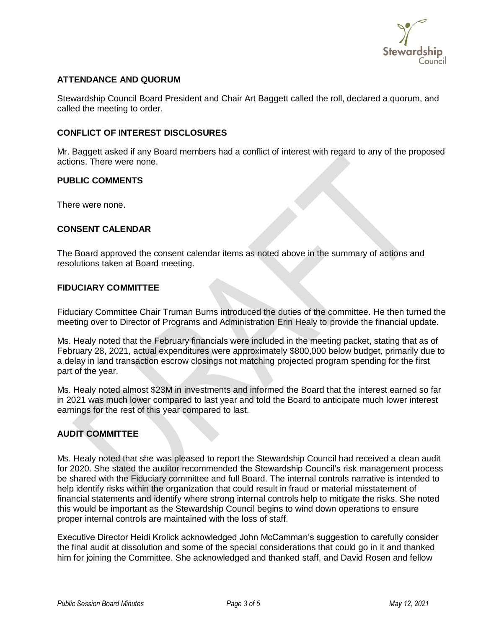

### **ATTENDANCE AND QUORUM**

Stewardship Council Board President and Chair Art Baggett called the roll, declared a quorum, and called the meeting to order.

### **CONFLICT OF INTEREST DISCLOSURES**

Mr. Baggett asked if any Board members had a conflict of interest with regard to any of the proposed actions. There were none.

### **PUBLIC COMMENTS**

There were none.

### **CONSENT CALENDAR**

The Board approved the consent calendar items as noted above in the summary of actions and resolutions taken at Board meeting.

## **FIDUCIARY COMMITTEE**

Fiduciary Committee Chair Truman Burns introduced the duties of the committee. He then turned the meeting over to Director of Programs and Administration Erin Healy to provide the financial update.

Ms. Healy noted that the February financials were included in the meeting packet, stating that as of February 28, 2021, actual expenditures were approximately \$800,000 below budget, primarily due to a delay in land transaction escrow closings not matching projected program spending for the first part of the year.

Ms. Healy noted almost \$23M in investments and informed the Board that the interest earned so far in 2021 was much lower compared to last year and told the Board to anticipate much lower interest earnings for the rest of this year compared to last.

## **AUDIT COMMITTEE**

Ms. Healy noted that she was pleased to report the Stewardship Council had received a clean audit for 2020. She stated the auditor recommended the Stewardship Council's risk management process be shared with the Fiduciary committee and full Board. The internal controls narrative is intended to help identify risks within the organization that could result in fraud or material misstatement of financial statements and identify where strong internal controls help to mitigate the risks. She noted this would be important as the Stewardship Council begins to wind down operations to ensure proper internal controls are maintained with the loss of staff.

Executive Director Heidi Krolick acknowledged John McCamman's suggestion to carefully consider the final audit at dissolution and some of the special considerations that could go in it and thanked him for joining the Committee. She acknowledged and thanked staff, and David Rosen and fellow